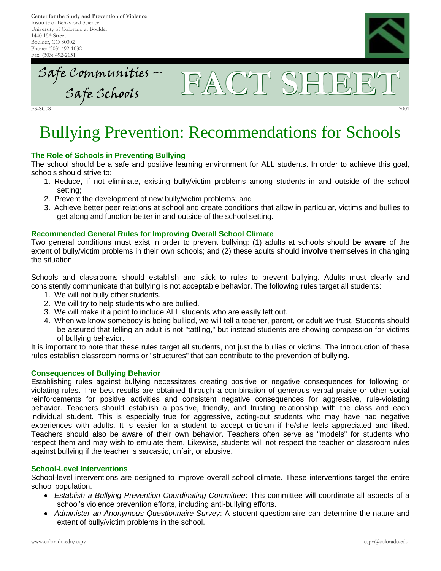**Center for the Study and Prevention of Violence** Institute of Behavioral Science University of Colorado at Boulder 1440 15th Street Boulder, CO 80302 Phone: (303) 492-1032 Fax: (303) 492-2151



Safe Communities  $\sim$ Communities – FACT<sup>SHEET</sup>

FS-SC08 2001

# Bullying Prevention: Recommendations for Schools

## **The Role of Schools in Preventing Bullying**

The school should be a safe and positive learning environment for ALL students. In order to achieve this goal, schools should strive to:

- 1. Reduce, if not eliminate, existing bully/victim problems among students in and outside of the school setting;
- 2. Prevent the development of new bully/victim problems; and
- 3. Achieve better peer relations at school and create conditions that allow in particular, victims and bullies to get along and function better in and outside of the school setting.

### **Recommended General Rules for Improving Overall School Climate**

Two general conditions must exist in order to prevent bullying: (1) adults at schools should be **aware** of the extent of bully/victim problems in their own schools; and (2) these adults should **involve** themselves in changing the situation.

Schools and classrooms should establish and stick to rules to prevent bullying. Adults must clearly and consistently communicate that bullying is not acceptable behavior. The following rules target all students:

- 1. We will not bully other students.
- 2. We will try to help students who are bullied.
- 3. We will make it a point to include ALL students who are easily left out.
- 4. When we know somebody is being bullied, we will tell a teacher, parent, or adult we trust. Students should be assured that telling an adult is not "tattling," but instead students are showing compassion for victims of bullying behavior.

It is important to note that these rules target all students, not just the bullies or victims. The introduction of these rules establish classroom norms or "structures" that can contribute to the prevention of bullying.

#### **Consequences of Bullying Behavior**

Establishing rules against bullying necessitates creating positive or negative consequences for following or violating rules. The best results are obtained through a combination of generous verbal praise or other social reinforcements for positive activities and consistent negative consequences for aggressive, rule-violating behavior. Teachers should establish a positive, friendly, and trusting relationship with the class and each individual student. This is especially true for aggressive, acting-out students who may have had negative experiences with adults. It is easier for a student to accept criticism if he/she feels appreciated and liked. Teachers should also be aware of their own behavior. Teachers often serve as "models" for students who respect them and may wish to emulate them. Likewise, students will not respect the teacher or classroom rules against bullying if the teacher is sarcastic, unfair, or abusive.

#### **School-Level Interventions**

School-level interventions are designed to improve overall school climate. These interventions target the entire school population.

- *Establish a Bullying Prevention Coordinating Committee*: This committee will coordinate all aspects of a school's violence prevention efforts, including anti-bullying efforts.
- *Administer an Anonymous Questionnaire Survey*: A student questionnaire can determine the nature and extent of bully/victim problems in the school.